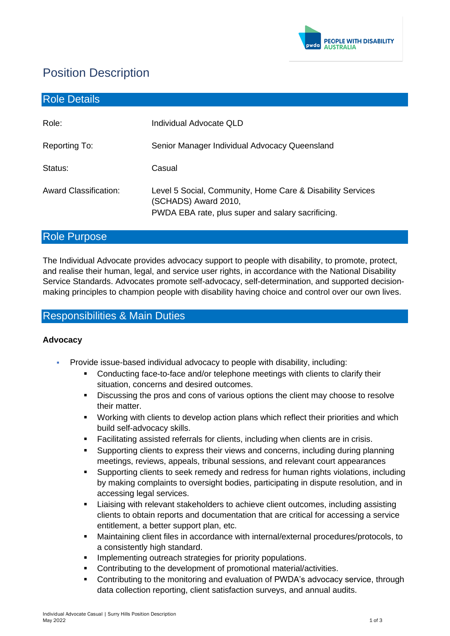

# Position Description

| <b>Role Details</b>          |                                                                                                                                         |
|------------------------------|-----------------------------------------------------------------------------------------------------------------------------------------|
| Role:                        | Individual Advocate QLD                                                                                                                 |
| Reporting To:                | Senior Manager Individual Advocacy Queensland                                                                                           |
| Status:                      | Casual                                                                                                                                  |
| <b>Award Classification:</b> | Level 5 Social, Community, Home Care & Disability Services<br>(SCHADS) Award 2010,<br>PWDA EBA rate, plus super and salary sacrificing. |

# Role Purpose

The Individual Advocate provides advocacy support to people with disability, to promote, protect, and realise their human, legal, and service user rights, in accordance with the National Disability Service Standards. Advocates promote self-advocacy, self-determination, and supported decisionmaking principles to champion people with disability having choice and control over our own lives.

# Responsibilities & Main Duties

## **Advocacy**

- Provide issue-based individual advocacy to people with disability, including:
	- Conducting face-to-face and/or telephone meetings with clients to clarify their situation, concerns and desired outcomes.
	- **EXECT** Discussing the pros and cons of various options the client may choose to resolve their matter.
	- Working with clients to develop action plans which reflect their priorities and which build self-advocacy skills.
	- Facilitating assisted referrals for clients, including when clients are in crisis.
	- Supporting clients to express their views and concerns, including during planning meetings, reviews, appeals, tribunal sessions, and relevant court appearances
	- Supporting clients to seek remedy and redress for human rights violations, including by making complaints to oversight bodies, participating in dispute resolution, and in accessing legal services.
	- Liaising with relevant stakeholders to achieve client outcomes, including assisting clients to obtain reports and documentation that are critical for accessing a service entitlement, a better support plan, etc.
	- Maintaining client files in accordance with internal/external procedures/protocols, to a consistently high standard.
	- Implementing outreach strategies for priority populations.
	- Contributing to the development of promotional material/activities.
	- Contributing to the monitoring and evaluation of PWDA's advocacy service, through data collection reporting, client satisfaction surveys, and annual audits.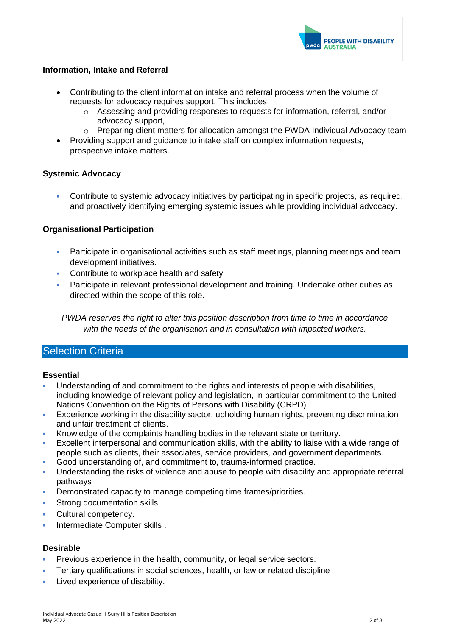

## **Information, Intake and Referral**

- Contributing to the client information intake and referral process when the volume of requests for advocacy requires support. This includes:
	- o Assessing and providing responses to requests for information, referral, and/or advocacy support,
	- $\circ$  Preparing client matters for allocation amongst the PWDA Individual Advocacy team
- Providing support and guidance to intake staff on complex information requests, prospective intake matters.

## **Systemic Advocacy**

▪ Contribute to systemic advocacy initiatives by participating in specific projects, as required, and proactively identifying emerging systemic issues while providing individual advocacy.

## **Organisational Participation**

- **Participate in organisational activities such as staff meetings, planning meetings and team** development initiatives.
- Contribute to workplace health and safety
- **Participate in relevant professional development and training. Undertake other duties as** directed within the scope of this role.

*PWDA reserves the right to alter this position description from time to time in accordance with the needs of the organisation and in consultation with impacted workers.*

## Selection Criteria

#### **Essential**

- Understanding of and commitment to the rights and interests of people with disabilities. including knowledge of relevant policy and legislation, in particular commitment to the United Nations Convention on the Rights of Persons with Disability (CRPD)
- **Experience working in the disability sector, upholding human rights, preventing discrimination** and unfair treatment of clients.
- Knowledge of the complaints handling bodies in the relevant state or territory.
- Excellent interpersonal and communication skills, with the ability to liaise with a wide range of people such as clients, their associates, service providers, and government departments.
- Good understanding of, and commitment to, trauma-informed practice.
- Understanding the risks of violence and abuse to people with disability and appropriate referral pathways
- Demonstrated capacity to manage competing time frames/priorities.
- Strong documentation skills
- Cultural competency.
- Intermediate Computer skills .

#### **Desirable**

- Previous experience in the health, community, or legal service sectors.
- Tertiary qualifications in social sciences, health, or law or related discipline
- **EXECUTE:** Lived experience of disability.